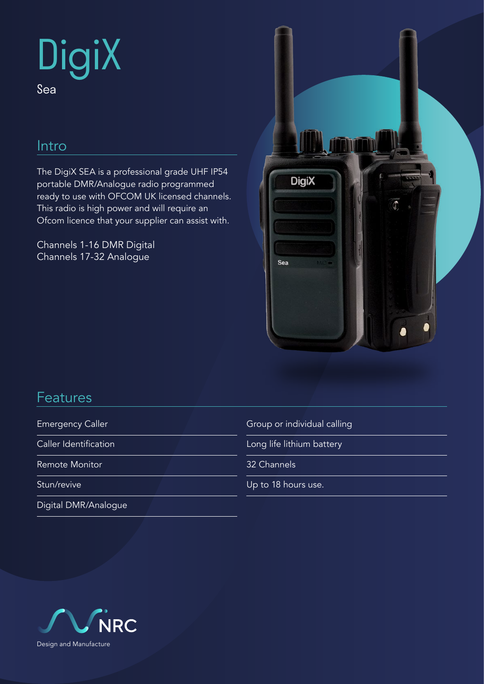# **DigiX** Sea

## Intro

The DigiX SEA is a professional grade UHF IP54 portable DMR/Analogue radio programmed ready to use with OFCOM UK licensed channels. This radio is high power and will require an Ofcom licence that your supplier can assist with.

Channels 1-16 DMR Digital Channels 17-32 Analogue



## Features

Emergency Caller

Caller Identification

Remote Monitor

Stun/revive

Digital DMR/Analogue

Group or individual calling

Long life lithium battery

32 Channels

Up to 18 hours use.